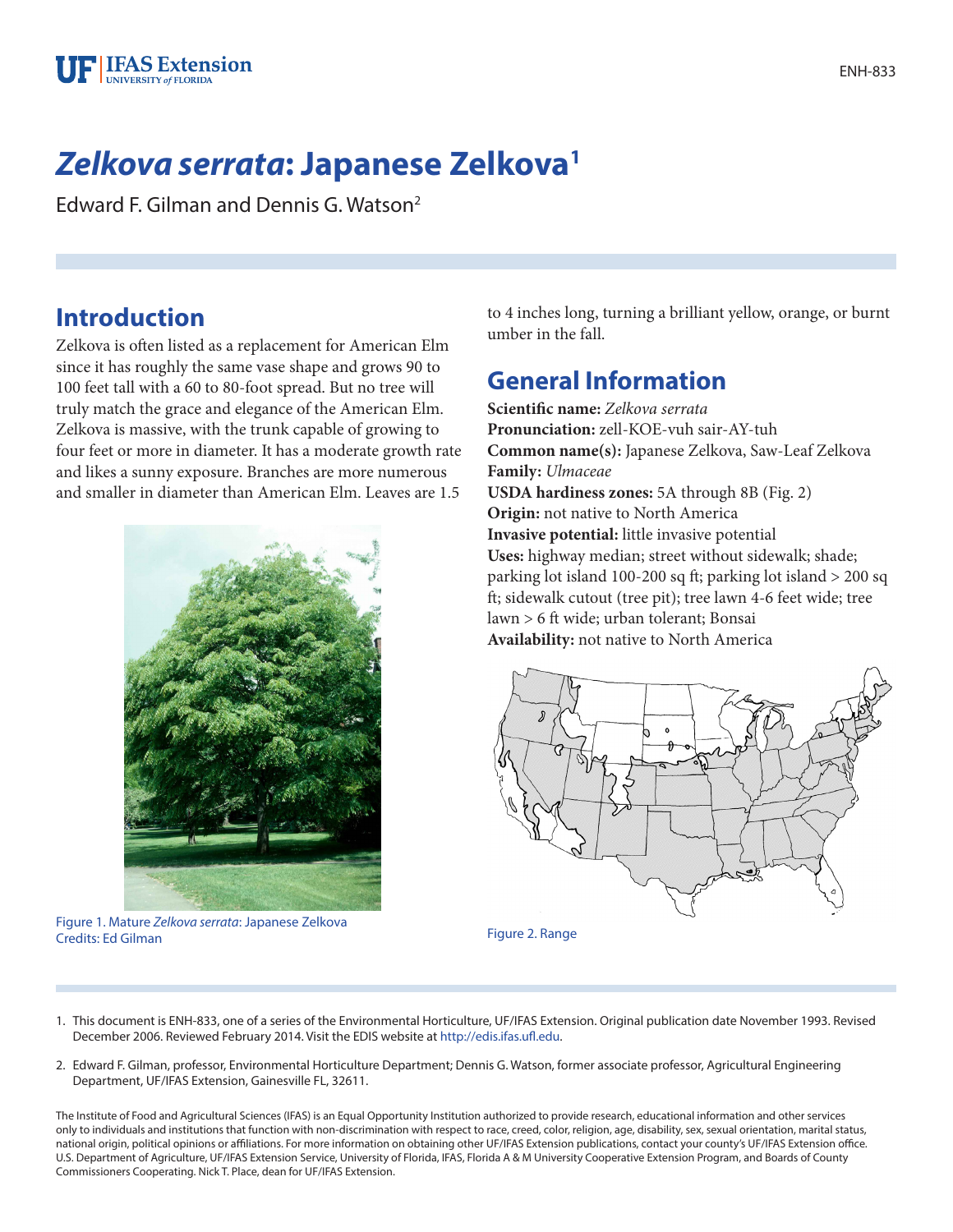

# *Zelkova serrata***: Japanese Zelkova1**

Edward F. Gilman and Dennis G. Watson2

## **Introduction**

Zelkova is often listed as a replacement for American Elm since it has roughly the same vase shape and grows 90 to 100 feet tall with a 60 to 80-foot spread. But no tree will truly match the grace and elegance of the American Elm. Zelkova is massive, with the trunk capable of growing to four feet or more in diameter. It has a moderate growth rate and likes a sunny exposure. Branches are more numerous and smaller in diameter than American Elm. Leaves are 1.5



Figure 1. Mature *Zelkova serrata*: Japanese Zelkova Credits: Ed Gilman Figure 2. Range

to 4 inches long, turning a brilliant yellow, orange, or burnt umber in the fall.

## **General Information**

**Scientific name:** *Zelkova serrata* **Pronunciation:** zell-KOE-vuh sair-AY-tuh **Common name(s):** Japanese Zelkova, Saw-Leaf Zelkova **Family:** *Ulmaceae* **USDA hardiness zones:** 5A through 8B (Fig. 2) **Origin:** not native to North America **Invasive potential:** little invasive potential **Uses:** highway median; street without sidewalk; shade; parking lot island 100-200 sq ft; parking lot island > 200 sq ft; sidewalk cutout (tree pit); tree lawn 4-6 feet wide; tree lawn > 6 ft wide; urban tolerant; Bonsai **Availability:** not native to North America



- 1. This document is ENH-833, one of a series of the Environmental Horticulture, UF/IFAS Extension. Original publication date November 1993. Revised December 2006. Reviewed February 2014. Visit the EDIS website at [http://edis.ifas.ufl.edu.](http://edis.ifas.ufl.edu)
- 2. Edward F. Gilman, professor, Environmental Horticulture Department; Dennis G. Watson, former associate professor, Agricultural Engineering Department, UF/IFAS Extension, Gainesville FL, 32611.

The Institute of Food and Agricultural Sciences (IFAS) is an Equal Opportunity Institution authorized to provide research, educational information and other services only to individuals and institutions that function with non-discrimination with respect to race, creed, color, religion, age, disability, sex, sexual orientation, marital status, national origin, political opinions or affiliations. For more information on obtaining other UF/IFAS Extension publications, contact your county's UF/IFAS Extension office. U.S. Department of Agriculture, UF/IFAS Extension Service, University of Florida, IFAS, Florida A & M University Cooperative Extension Program, and Boards of County Commissioners Cooperating. Nick T. Place, dean for UF/IFAS Extension.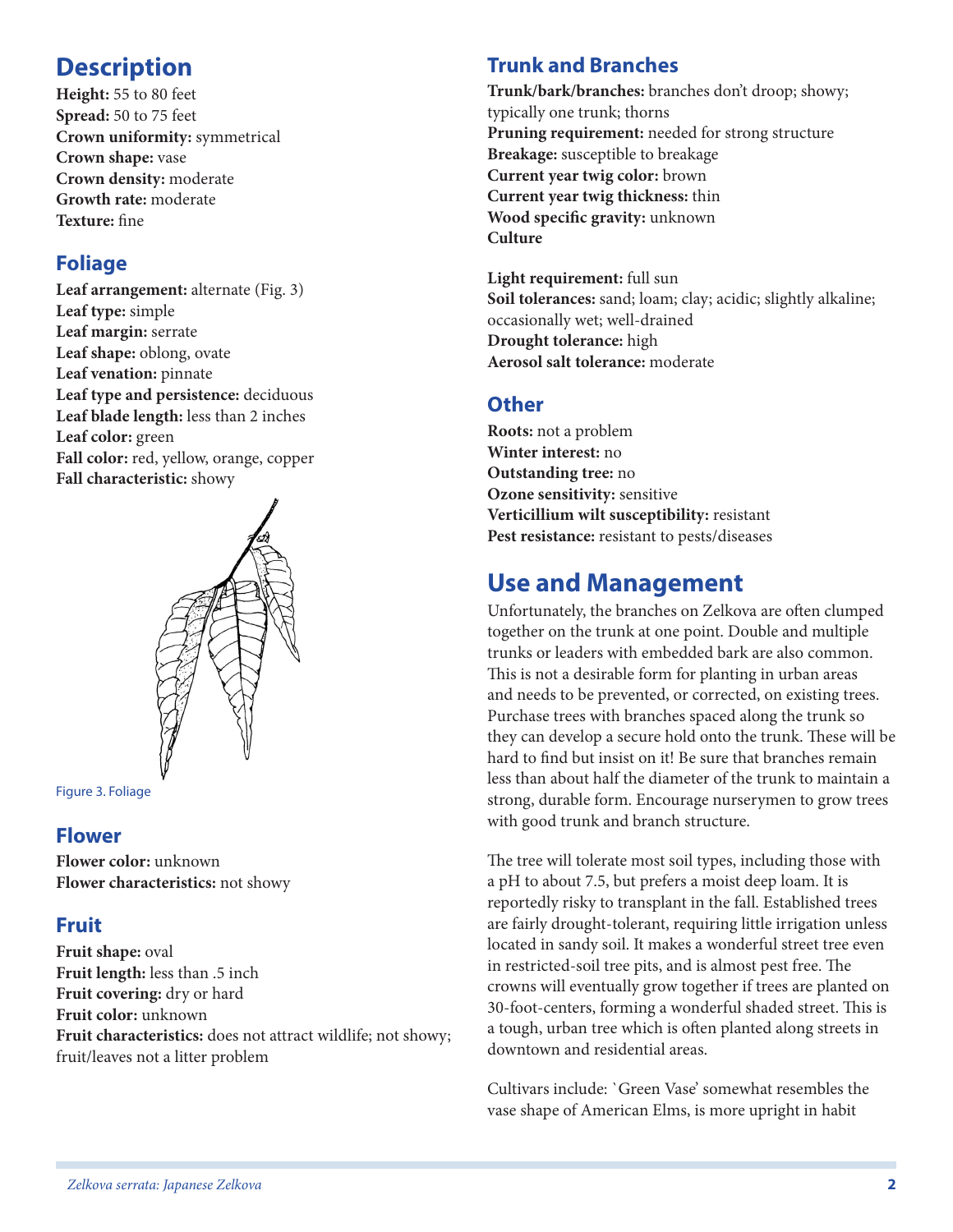## **Description**

**Height:** 55 to 80 feet **Spread:** 50 to 75 feet **Crown uniformity:** symmetrical **Crown shape:** vase **Crown density:** moderate **Growth rate:** moderate **Texture:** fine

### **Foliage**

Leaf arrangement: alternate (Fig. 3) **Leaf type:** simple **Leaf margin:** serrate **Leaf shape:** oblong, ovate **Leaf venation:** pinnate **Leaf type and persistence:** deciduous **Leaf blade length:** less than 2 inches **Leaf color:** green **Fall color:** red, yellow, orange, copper **Fall characteristic:** showy



Figure 3. Foliage

#### **Flower**

**Flower color:** unknown **Flower characteristics:** not showy

#### **Fruit**

**Fruit shape:** oval **Fruit length:** less than .5 inch **Fruit covering:** dry or hard **Fruit color:** unknown **Fruit characteristics:** does not attract wildlife; not showy; fruit/leaves not a litter problem

#### **Trunk and Branches**

**Trunk/bark/branches:** branches don't droop; showy; typically one trunk; thorns **Pruning requirement:** needed for strong structure **Breakage:** susceptible to breakage **Current year twig color:** brown **Current year twig thickness:** thin **Wood specific gravity:** unknown **Culture**

**Light requirement:** full sun **Soil tolerances:** sand; loam; clay; acidic; slightly alkaline; occasionally wet; well-drained **Drought tolerance:** high **Aerosol salt tolerance:** moderate

### **Other**

**Roots:** not a problem **Winter interest:** no **Outstanding tree:** no **Ozone sensitivity:** sensitive **Verticillium wilt susceptibility:** resistant **Pest resistance:** resistant to pests/diseases

## **Use and Management**

Unfortunately, the branches on Zelkova are often clumped together on the trunk at one point. Double and multiple trunks or leaders with embedded bark are also common. This is not a desirable form for planting in urban areas and needs to be prevented, or corrected, on existing trees. Purchase trees with branches spaced along the trunk so they can develop a secure hold onto the trunk. These will be hard to find but insist on it! Be sure that branches remain less than about half the diameter of the trunk to maintain a strong, durable form. Encourage nurserymen to grow trees with good trunk and branch structure.

The tree will tolerate most soil types, including those with a pH to about 7.5, but prefers a moist deep loam. It is reportedly risky to transplant in the fall. Established trees are fairly drought-tolerant, requiring little irrigation unless located in sandy soil. It makes a wonderful street tree even in restricted-soil tree pits, and is almost pest free. The crowns will eventually grow together if trees are planted on 30-foot-centers, forming a wonderful shaded street. This is a tough, urban tree which is often planted along streets in downtown and residential areas.

Cultivars include: `Green Vase' somewhat resembles the vase shape of American Elms, is more upright in habit